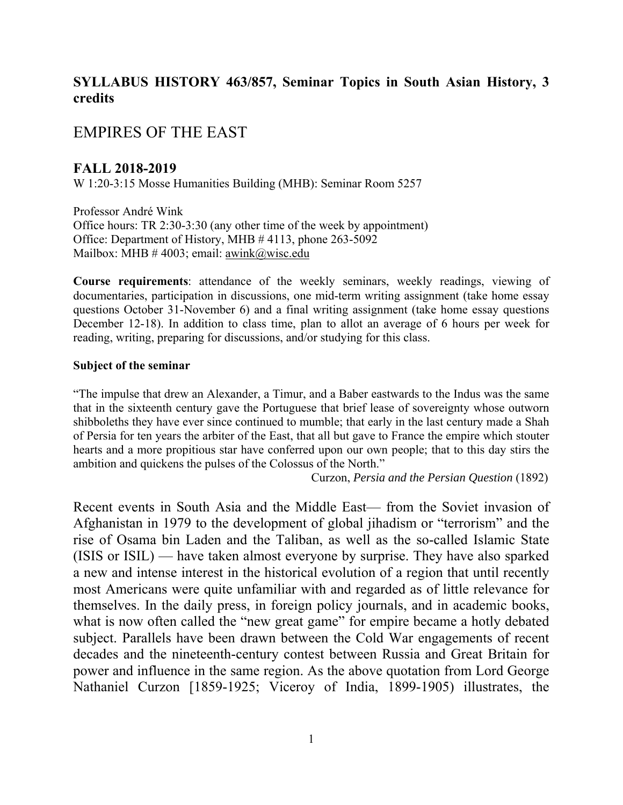## **SYLLABUS HISTORY 463/857, Seminar Topics in South Asian History, 3 credits**

# EMPIRES OF THE EAST

#### **FALL 2018-2019**

W 1:20-3:15 Mosse Humanities Building (MHB): Seminar Room 5257

Professor André Wink Office hours: TR 2:30-3:30 (any other time of the week by appointment) Office: Department of History, MHB # 4113, phone 263-5092 Mailbox: MHB  $\#$  4003; email: awink@wisc.edu

**Course requirements**: attendance of the weekly seminars, weekly readings, viewing of documentaries, participation in discussions, one mid-term writing assignment (take home essay questions October 31-November 6) and a final writing assignment (take home essay questions December 12-18). In addition to class time, plan to allot an average of 6 hours per week for reading, writing, preparing for discussions, and/or studying for this class.

#### **Subject of the seminar**

"The impulse that drew an Alexander, a Timur, and a Baber eastwards to the Indus was the same that in the sixteenth century gave the Portuguese that brief lease of sovereignty whose outworn shibboleths they have ever since continued to mumble; that early in the last century made a Shah of Persia for ten years the arbiter of the East, that all but gave to France the empire which stouter hearts and a more propitious star have conferred upon our own people; that to this day stirs the ambition and quickens the pulses of the Colossus of the North."

Curzon, *Persia and the Persian Question* (1892)

Recent events in South Asia and the Middle East— from the Soviet invasion of Afghanistan in 1979 to the development of global jihadism or "terrorism" and the rise of Osama bin Laden and the Taliban, as well as the so-called Islamic State (ISIS or ISIL) — have taken almost everyone by surprise. They have also sparked a new and intense interest in the historical evolution of a region that until recently most Americans were quite unfamiliar with and regarded as of little relevance for themselves. In the daily press, in foreign policy journals, and in academic books, what is now often called the "new great game" for empire became a hotly debated subject. Parallels have been drawn between the Cold War engagements of recent decades and the nineteenth-century contest between Russia and Great Britain for power and influence in the same region. As the above quotation from Lord George Nathaniel Curzon [1859-1925; Viceroy of India, 1899-1905) illustrates, the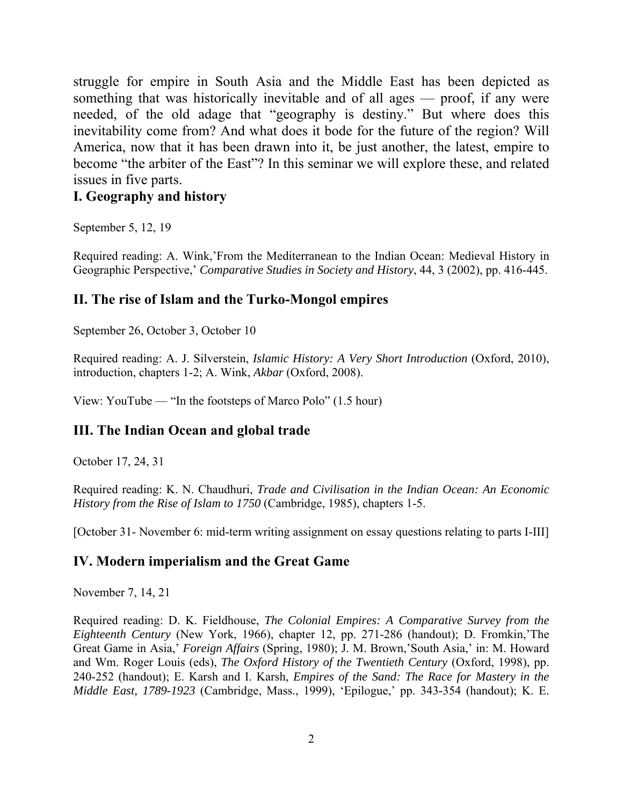struggle for empire in South Asia and the Middle East has been depicted as something that was historically inevitable and of all ages — proof, if any were needed, of the old adage that "geography is destiny." But where does this inevitability come from? And what does it bode for the future of the region? Will America, now that it has been drawn into it, be just another, the latest, empire to become "the arbiter of the East"? In this seminar we will explore these, and related issues in five parts.

#### **I. Geography and history**

September 5, 12, 19

Required reading: A. Wink,'From the Mediterranean to the Indian Ocean: Medieval History in Geographic Perspective,' *Comparative Studies in Society and History*, 44, 3 (2002), pp. 416-445.

#### **II. The rise of Islam and the Turko-Mongol empires**

September 26, October 3, October 10

Required reading: A. J. Silverstein, *Islamic History: A Very Short Introduction* (Oxford, 2010), introduction, chapters 1-2; A. Wink, *Akbar* (Oxford, 2008).

View: YouTube — "In the footsteps of Marco Polo" (1.5 hour)

## **III. The Indian Ocean and global trade**

October 17, 24, 31

Required reading: K. N. Chaudhuri, *Trade and Civilisation in the Indian Ocean: An Economic History from the Rise of Islam to 1750* (Cambridge, 1985), chapters 1-5.

[October 31- November 6: mid-term writing assignment on essay questions relating to parts I-III]

## **IV. Modern imperialism and the Great Game**

November 7, 14, 21

Required reading: D. K. Fieldhouse, *The Colonial Empires: A Comparative Survey from the Eighteenth Century* (New York, 1966), chapter 12, pp. 271-286 (handout); D. Fromkin,'The Great Game in Asia,' *Foreign Affairs* (Spring, 1980); J. M. Brown,'South Asia,' in: M. Howard and Wm. Roger Louis (eds), *The Oxford History of the Twentieth Century* (Oxford, 1998), pp. 240-252 (handout); E. Karsh and I. Karsh, *Empires of the Sand: The Race for Mastery in the Middle East, 1789-1923* (Cambridge, Mass., 1999), 'Epilogue,' pp. 343-354 (handout); K. E.